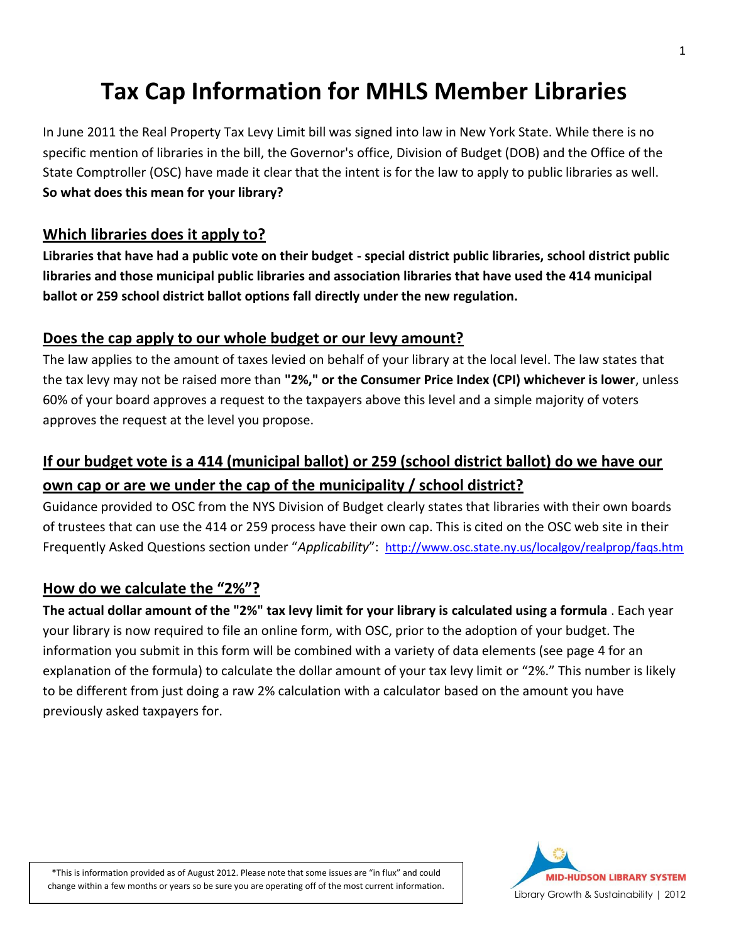# **Tax Cap Information for MHLS Member Libraries**

In June 2011 the Real Property Tax Levy Limit bill was signed into law in New York State. While there is no specific mention of libraries in the bill, the Governor's office, Division of Budget (DOB) and the Office of the State Comptroller (OSC) have made it clear that the intent is for the law to apply to public libraries as well. **So what does this mean for your library?**

#### **Which libraries does it apply to?**

**Libraries that have had a public vote on their budget - special district public libraries, school district public libraries and those municipal public libraries and association libraries that have used the 414 municipal ballot or 259 school district ballot options fall directly under the new regulation.**

#### **Does the cap apply to our whole budget or our levy amount?**

The law applies to the amount of taxes levied on behalf of your library at the local level. The law states that the tax levy may not be raised more than **"2%," or the Consumer Price Index (CPI) whichever is lower**, unless 60% of your board approves a request to the taxpayers above this level and a simple majority of voters approves the request at the level you propose.

# **If our budget vote is a 414 (municipal ballot) or 259 (school district ballot) do we have our own cap or are we under the cap of the municipality / school district?**

Guidance provided to OSC from the NYS Division of Budget clearly states that libraries with their own boards of trustees that can use the 414 or 259 process have their own cap. This is cited on the OSC web site in their Frequently Asked Questions section under "*Applicability*": <http://www.osc.state.ny.us/localgov/realprop/faqs.htm>

#### **How do we calculate the "2%"?**

**The actual dollar amount of the "2%" tax levy limit for your library is calculated using a formula** . Each year your library is now required to file an online form, with OSC, prior to the adoption of your budget. The information you submit in this form will be combined with a variety of data elements (see page 4 for an explanation of the formula) to calculate the dollar amount of your tax levy limit or "2%." This number is likely to be different from just doing a raw 2% calculation with a calculator based on the amount you have previously asked taxpayers for.

\*This is information provided as of August 2012. Please note that some issues are "in flux" and could change within a few months or years so be sure you are operating off of the most current information.

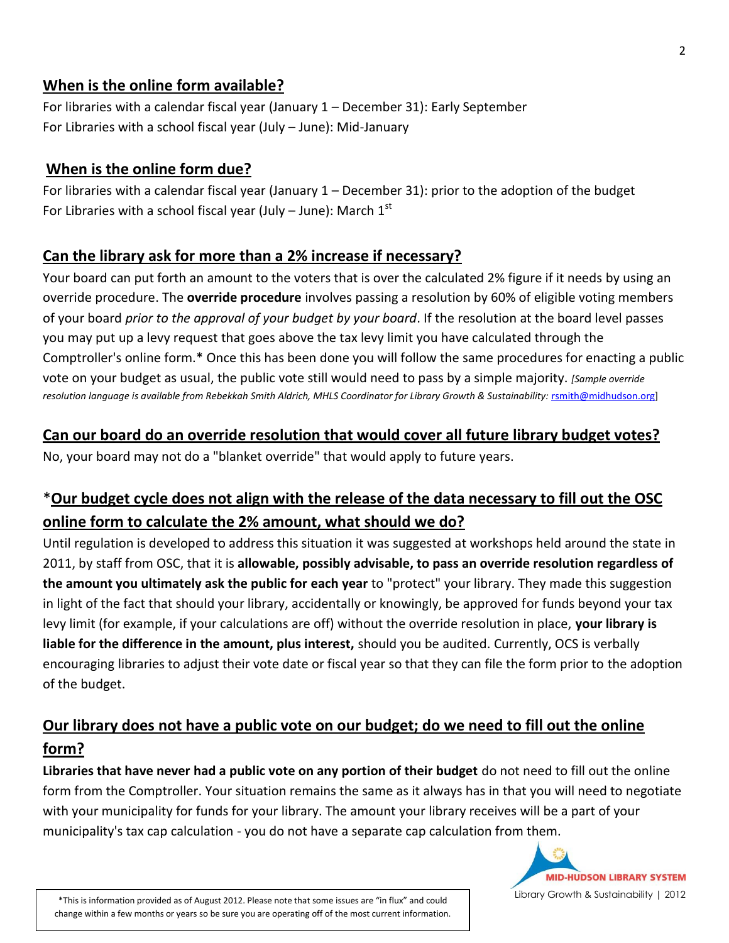#### **When is the online form available?**

For libraries with a calendar fiscal year (January 1 – December 31): Early September For Libraries with a school fiscal year (July – June): Mid-January

#### **When is the online form due?**

For libraries with a calendar fiscal year (January 1 – December 31): prior to the adoption of the budget For Libraries with a school fiscal year (July – June): March  $1<sup>st</sup>$ 

#### **Can the library ask for more than a 2% increase if necessary?**

Your board can put forth an amount to the voters that is over the calculated 2% figure if it needs by using an override procedure. The **override procedure** involves passing a resolution by 60% of eligible voting members of your board *prior to the approval of your budget by your board*. If the resolution at the board level passes you may put up a levy request that goes above the tax levy limit you have calculated through the Comptroller's online form.\* Once this has been done you will follow the same procedures for enacting a public vote on your budget as usual, the public vote still would need to pass by a simple majority. *[Sample override resolution language is available from Rebekkah Smith Aldrich, MHLS Coordinator for Library Growth & Sustainability:* [rsmith@midhudson.org\]](mailto:rsmith@midhudson.org?)

#### **Can our board do an override resolution that would cover all future library budget votes?**

No, your board may not do a "blanket override" that would apply to future years.

# \***Our budget cycle does not align with the release of the data necessary to fill out the OSC online form to calculate the 2% amount, what should we do?**

Until regulation is developed to address this situation it was suggested at workshops held around the state in 2011, by staff from OSC, that it is **allowable, possibly advisable, to pass an override resolution regardless of the amount you ultimately ask the public for each year** to "protect" your library. They made this suggestion in light of the fact that should your library, accidentally or knowingly, be approved for funds beyond your tax levy limit (for example, if your calculations are off) without the override resolution in place, **your library is liable for the difference in the amount, plus interest,** should you be audited. Currently, OCS is verbally encouraging libraries to adjust their vote date or fiscal year so that they can file the form prior to the adoption of the budget.

# **Our library does not have a public vote on our budget; do we need to fill out the online form?**

**Libraries that have never had a public vote on any portion of their budget** do not need to fill out the online form from the Comptroller. Your situation remains the same as it always has in that you will need to negotiate with your municipality for funds for your library. The amount your library receives will be a part of your municipality's tax cap calculation - you do not have a separate cap calculation from them.



\*This is information provided as of August 2012. Please note that some issues are "in flux" and could change within a few months or years so be sure you are operating off of the most current information.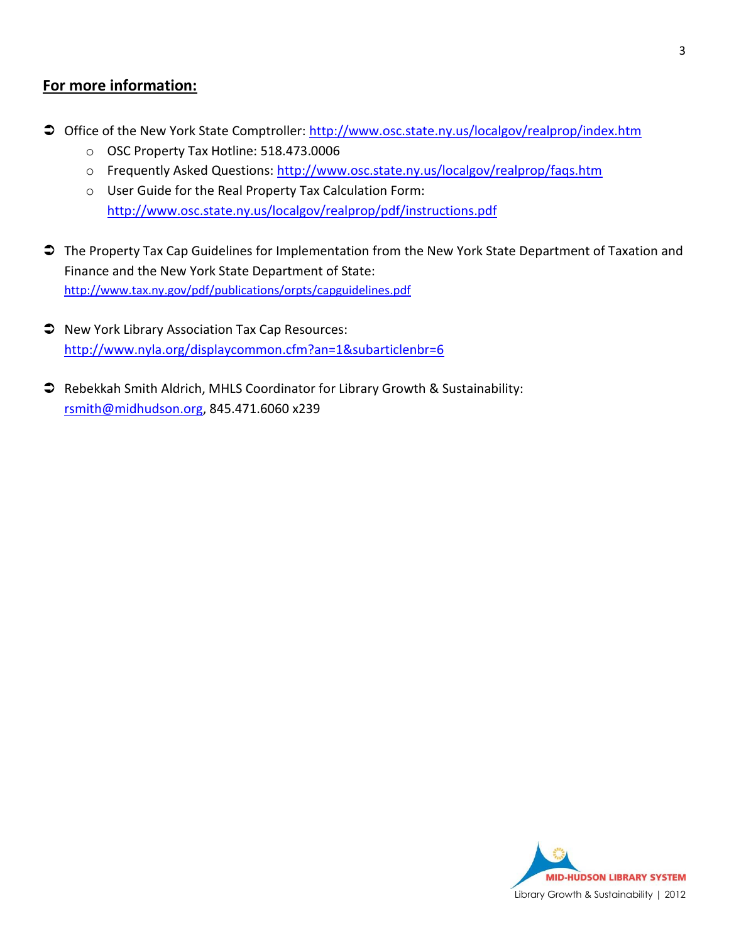#### **For more information:**

- Office of the New York State Comptroller:<http://www.osc.state.ny.us/localgov/realprop/index.htm>
	- o OSC Property Tax Hotline: 518.473.0006
	- o Frequently Asked Questions:<http://www.osc.state.ny.us/localgov/realprop/faqs.htm>
	- o User Guide for the Real Property Tax Calculation Form: <http://www.osc.state.ny.us/localgov/realprop/pdf/instructions.pdf>
- The Property Tax Cap Guidelines for Implementation from the New York State Department of Taxation and Finance and the New York State Department of State: <http://www.tax.ny.gov/pdf/publications/orpts/capguidelines.pdf>
- $\supset$  New York Library Association Tax Cap Resources: <http://www.nyla.org/displaycommon.cfm?an=1&subarticlenbr=6>
- Rebekkah Smith Aldrich, MHLS Coordinator for Library Growth & Sustainability: [rsmith@midhudson.org,](mailto:rsmith@midhudson.org) 845.471.6060 x239